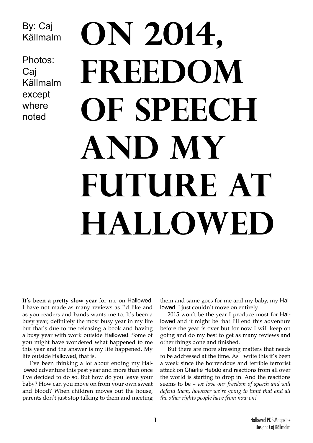By: Caj Källmalm

Photos: **Cai** Källmalm except where noted

## **On 2014, FREEDOM** OF SPEECH **and my FUTURE AT Hallowed**

**It's been a pretty slow year** for me on Hallowed. I have not made as many reviews as I'd like and as you readers and bands wants me to. It's been a busy year, definitely the most busy year in my life but that's due to me releasing a book and having a busy year with work outside Hallowed. Some of you might have wondered what happened to me this year and the answer is my life happened. My life outside Hallowed, that is.

I've been thinking a lot about ending my Hallowed adventure this past year and more than once I've decided to do so. But how do you leave your baby? How can you move on from your own sweat and blood? When children moves out the house, parents don't just stop talking to them and meeting

them and same goes for me and my baby, my Hallowed. I just couldn't move on entirely.

2015 won't be the year I produce most for Hallowed and it might be that I'll end this adventure before the year is over but for now I will keep on going and do my best to get as many reviews and other things done and finished.

But there are more stressing matters that needs to be addressed at the time. As I write this it's been a week since the horrendous and terrible terrorist attack on Charlie Hebdo and reactions from all over the world is starting to drop in. And the reactions seems to be – *we love our freedom of speech and will defend them, however we're going to limit that and all the other rights people have from now on!*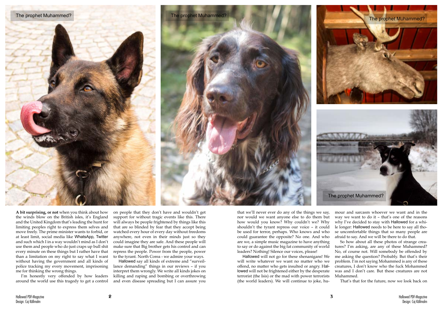

**A bit surprising, or not** when you think about how the winds blow on the British isles, it's England and the United Kingdom that's leading the hunt for limiting peoples right to express them selves and move freely. The prime minister wants to forbid, or at least limit, social media like WhatsApp, Twitter and such which I in a way wouldn't mind as I don't use them and people who do just craps up bull shit every minute on these things but I rather have that than a limitation on my right to say what I want without having the government and all kinds of police tracking my every movement, imprisoning me for thinking the wrong things.

I'm honestly very offended by how leaders around the world use this tragedy to get a control

on people that they don't have and wouldn't get support for without tragic events like this. There will always be people frightened by things like this that are so blinded by fear that they accept being watched every hour of every day without freedoms anywhere, not even in their minds just so they could imagine they are safe. And these people will make sure that Big brother gets his control and can repress the people. Power from the people, power to the tyrant. North Corea - we admire your ways.

Hallowed say all kinds of extreme and "surveillance demanding" things in our reviews – if you interpret them wrongly. We write all kinds jokes on killing and raping and bombing or overthrowing and even disease spreading but I can assure you

that we'll never ever do any of the things we say, nor would we want anyone else to do them but how would you know? Why couldn't we? Why shouldn't the tyrant repress our voice – it could be used for terror, perhaps. Who knows and who could guarantee the opposite? No one. And who are we, a simple music magazine to have anything to say or do against the big fat community of world leaders? Nothing! Silence our voices, please! mour and sarcasm whoever we want and in the way we want to do it – that's one of the reasons why I've decided to stay with Hallowed for a while longer: Hallowed needs to be here to say all those uncomfortable things that so many people are afraid to say. And we will be there to do that. So how about all these photos of strange creatures? I'm asking, are any of these Muhammed? No, of course not. Will somebody be offended by

Hallowed will not go for these shenanigans! We will write whatever we want no matter who we offend, no matter who gets insulted or angry. Hallowed will not be frightened either by the desperate terrorist (the Isis) or the mad with power terrorists (the world leaders). We will continue to joke, hume asking the question? Probably. But that's their problem. I'm not saying Mohammed is any of these creatures, I don't know who the fuck Mohammed was and I don't care. But these creatures are not Muhammed.

That's that for the future, now we look back on